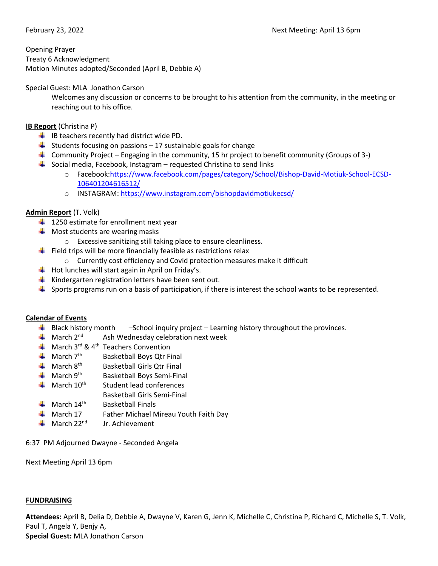Opening Prayer Treaty 6 Acknowledgment Motion Minutes adopted/Seconded (April B, Debbie A)

### Special Guest: MLA Jonathon Carson

Welcomes any discussion or concerns to be brought to his attention from the community, in the meeting or reaching out to his office.

# **IB Report** (Christina P)

- $\downarrow$  IB teachers recently had district wide PD.
- $\frac{1}{2}$  Students focusing on passions 17 sustainable goals for change
- **Community Project** Engaging in the community, 15 hr project to benefit community (Groups of 3-)
- $\frac{1}{2}$  Social media, Facebook, Instagram requested Christina to send links
	- o Facebook[:https://www.facebook.com/pages/category/School/Bishop-David-Motiuk-School-ECSD-](https://www.facebook.com/pages/category/School/Bishop-David-Motiuk-School-ECSD-106401204616512/)[106401204616512/](https://www.facebook.com/pages/category/School/Bishop-David-Motiuk-School-ECSD-106401204616512/)
	- o INSTAGRAM:<https://www.instagram.com/bishopdavidmotiukecsd/>

# **Admin Report** (T. Volk)

- $\frac{1}{2}$  1250 estimate for enrollment next year
- $\bigstar$  Most students are wearing masks
	- o Excessive sanitizing still taking place to ensure cleanliness.
- $\ddot{\phantom{1}}$  Field trips will be more financially feasible as restrictions relax
	- o Currently cost efficiency and Covid protection measures make it difficult
- $\frac{1}{\sqrt{1}}$  Hot lunches will start again in April on Friday's.
- $\frac{1}{\sqrt{1}}$  Kindergarten registration letters have been sent out.
- $\blacktriangle$  Sports programs run on a basis of participation, if there is interest the school wants to be represented.

### **Calendar of Events**

- $\ddot{+}$  Black history month –School inquiry project Learning history throughout the provinces.
- $\frac{1}{2}$  March 2<sup>nd</sup> Ash Wednesday celebration next week
- $\bigstar$  March 3<sup>rd</sup> & 4<sup>th</sup> Teachers Convention
- $\frac{1}{\sqrt{2}}$  March 7<sup>th</sup> Basketball Boys Qtr Final
- $\triangleq$  March 8<sup>th</sup> Basketball Girls Qtr Final
- $\triangleq$  March 9<sup>th</sup> Basketball Boys Semi-Final
- $\triangleq$  March 10<sup>th</sup> Student lead conferences
	- Basketball Girls Semi-Final
- $\bigstar$  March 14<sup>th</sup> Basketball Finals
- $\frac{1}{2}$  March 17 Father Michael Mireau Youth Faith Day
- $\triangleq$  March 22<sup>nd</sup> Jr. Achievement

6:37 PM Adjourned Dwayne - Seconded Angela

Next Meeting April 13 6pm

### **FUNDRAISING**

**Attendees:** April B, Delia D, Debbie A, Dwayne V, Karen G, Jenn K, Michelle C, Christina P, Richard C, Michelle S, T. Volk, Paul T, Angela Y, Benjy A, **Special Guest:** MLA Jonathon Carson